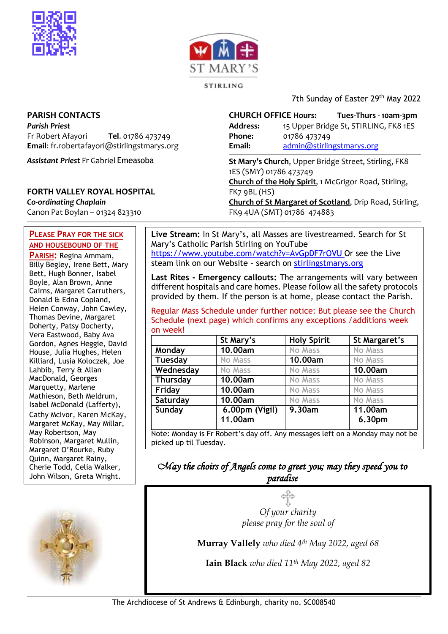



STIRLING

7th Sunday of Easter 29<sup>th</sup> May 2022

### **PARISH CONTACTS**

*Parish Priest* Fr Robert Afayori **Tel**. 01786 473749 **Email**: fr.robertafayori@stirlingstmarys.org

*Assistant Priest* Fr Gabriel Emeasoba

### **FORTH VALLEY ROYAL HOSPITAL**

*Co-ordinating Chaplain* Canon Pat Boylan – 01324 823310

### **PLEASE PRAY FOR THE SICK AND HOUSEBOUND OF THE**

**PARISH:** Regina Ammam, Billy Begley, Irene Bett, Mary Bett, Hugh Bonner, Isabel Boyle, Alan Brown, Anne Cairns, Margaret Carruthers, Donald & Edna Copland, Helen Conway, John Cawley, Thomas Devine, Margaret Doherty, Patsy Docherty, Vera Eastwood, Baby Ava Gordon, Agnes Heggie, David House, Julia Hughes, Helen Killiard, Lusia Koloczek, Joe Lahbib, Terry & Allan MacDonald, Georges Marquetty, Marlene Mathieson, Beth Meldrum, Isabel McDonald (Lafferty), Cathy McIvor, Karen McKay, Margaret McKay, May Millar, May Robertson, May Robinson, Margaret Mullin, Margaret O'Rourke, Ruby Quinn, Margaret Rainy, Cherie Todd, Celia Walker, John Wilson, Greta Wright.



**CHURCH OFFICE Hours: Tues-Thurs - 10am-3pm Address:** 15 Upper Bridge St, STIRLING, FK8 1ES **Phone:** 01786 473749 **Email:** [admin@stirlingstmarys.org](mailto:admin@stirlingstmarys.org) **St Mary's Church**, Upper Bridge Street, Stirling, FK8

1ES (SMY) 01786 473749 **Church of the Holy Spirit**, 1 McGrigor Road, Stirling, FK7 9BL (HS) **Church of St Margaret of Scotland**, Drip Road, Stirling, FK9 4UA (SMT) 01786 474883

**Live Stream:** In St Mary's, all Masses are livestreamed. Search for St Mary's Catholic Parish Stirling on YouTube <https://www.youtube.com/watch?v=AvGpDF7rOVU> Or see the Live steam link on our Website – search on stirlingstmarys.org

**Last Rites - Emergency callouts:** The arrangements will vary between different hospitals and care homes. Please follow all the safety protocols provided by them. If the person is at home, please contact the Parish.

Regular Mass Schedule under further notice: But please see the Church Schedule (next page) which confirms any exceptions /additions week on week!

|                | St Mary's      | <b>Holy Spirit</b> | St Margaret's  |
|----------------|----------------|--------------------|----------------|
| Monday         | 10.00am        | <b>No Mass</b>     | <b>No Mass</b> |
| <b>Tuesday</b> | <b>No Mass</b> | 10.00am            | <b>No Mass</b> |
| Wednesday      | <b>No Mass</b> | <b>No Mass</b>     | 10.00am        |
| Thursday       | 10.00am        | <b>No Mass</b>     | <b>No Mass</b> |
| Friday         | 10.00am        | <b>No Mass</b>     | <b>No Mass</b> |
| Saturday       | 10.00am        | <b>No Mass</b>     | <b>No Mass</b> |
| Sunday         | 6.00pm (Vigil) | 9.30am             | 11.00am        |
|                | 11.00am        |                    | 6.30pm         |

## *May the choirs of Angels come to greet you; may they speed you to paradise*

*Of your charity please pray for the soul of*

**Murray Vallely** *who died 4th May 2022, aged 68*

**Iain Black** *who died 11th May 2022, aged 82*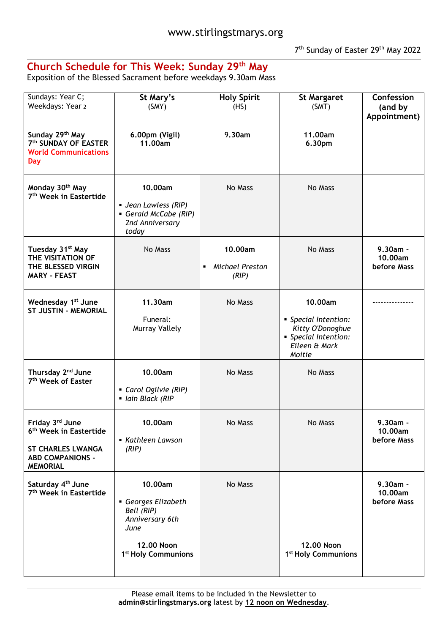# **Church Schedule for This Week: Sunday 29th May**

Exposition of the Blessed Sacrament before weekdays 9.30am Mass

| Sundays: Year C;<br>Weekdays: Year 2                                                                                            | St Mary's<br>(SMY)                                                                                                     | <b>Holy Spirit</b><br>(HS)                            | <b>St Margaret</b><br>(SMT)                                                                            | Confession<br>(and by<br>Appointment) |
|---------------------------------------------------------------------------------------------------------------------------------|------------------------------------------------------------------------------------------------------------------------|-------------------------------------------------------|--------------------------------------------------------------------------------------------------------|---------------------------------------|
| Sunday 29th May<br>7th SUNDAY OF EASTER<br><b>World Communications</b><br><b>Day</b>                                            | 6.00pm (Vigil)<br>11.00am                                                                                              | 9.30am                                                | 11.00am<br>6.30pm                                                                                      |                                       |
| Monday 30 <sup>th</sup> May<br>7 <sup>th</sup> Week in Eastertide                                                               | 10.00am<br>■ Jean Lawless (RIP)<br>Gerald McCabe (RIP)<br>2nd Anniversary<br>today                                     | No Mass                                               | No Mass                                                                                                |                                       |
| Tuesday 31 <sup>st</sup> May<br>THE VISITATION OF<br>THE BLESSED VIRGIN<br><b>MARY - FEAST</b>                                  | No Mass                                                                                                                | 10.00am<br>Michael Preston<br>$\blacksquare$<br>(RIP) | No Mass                                                                                                | $9.30am -$<br>10.00am<br>before Mass  |
| Wednesday 1 <sup>st</sup> June<br><b>ST JUSTIN - MEMORIAL</b>                                                                   | 11.30am<br>Funeral:<br><b>Murray Vallely</b>                                                                           | No Mass                                               | 10.00am<br>• Special Intention:<br>Kitty O'Donoghue<br>• Special Intention:<br>Eileen & Mark<br>Moitie |                                       |
| Thursday 2 <sup>nd</sup> June<br>7 <sup>th</sup> Week of Easter                                                                 | 10.00am<br>Carol Ogilvie (RIP)<br>· Iain Black (RIP                                                                    | No Mass                                               | No Mass                                                                                                |                                       |
| Friday 3rd June<br>6 <sup>th</sup> Week in Eastertide<br><b>ST CHARLES LWANGA</b><br><b>ABD COMPANIONS -</b><br><b>MEMORIAL</b> | 10.00am<br>• Kathleen Lawson<br>(RIP)                                                                                  | No Mass                                               | No Mass                                                                                                | $9.30am -$<br>10.00am<br>before Mass  |
| Saturday 4 <sup>th</sup> June<br>7 <sup>th</sup> Week in Eastertide                                                             | 10.00am<br>Georges Elizabeth<br>Bell (RIP)<br>Anniversary 6th<br>June<br>12,00 Noon<br>1 <sup>st</sup> Holy Communions | No Mass                                               | 12,00 Noon<br>1 <sup>st</sup> Holy Communions                                                          | 9.30am -<br>10.00am<br>before Mass    |
|                                                                                                                                 |                                                                                                                        |                                                       |                                                                                                        |                                       |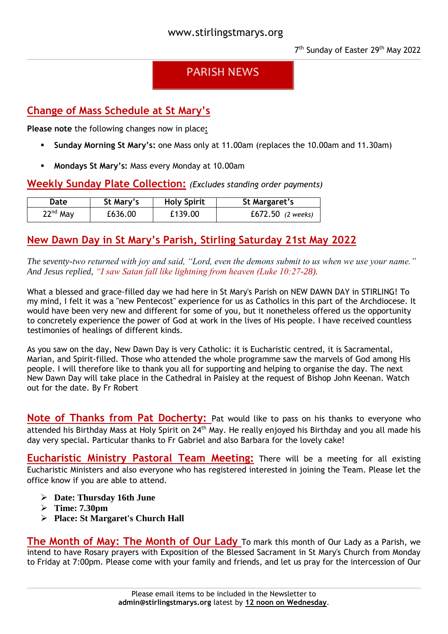# **PARISH NEWS**

## **Change of Mass Schedule at St Mary's**

**Please note** the following changes now in place**:**

- **Sunday Morning St Mary's:** one Mass only at 11.00am (replaces the 10.00am and 11.30am)
- **Mondays St Mary's:** Mass every Monday at 10.00am

## **Weekly Sunday Plate Collection:** *(Excludes standing order payments)*

| Date       | St Mary's | <b>Holy Spirit</b> | St Margaret's       |
|------------|-----------|--------------------|---------------------|
| $22nd$ May | £636.00   | £139.00            | $E672.50$ (2 weeks) |

## **New Dawn Day in St Mary's Parish, Stirling Saturday 21st May 2022**

*The seventy-two returned with joy and said, "Lord, even the demons submit to us when we use your name." And Jesus replied, "I saw Satan fall like lightning from heaven (Luke 10:27-28).*

What a blessed and grace-filled day we had here in St Mary's Parish on NEW DAWN DAY in STIRLING! To my mind, I felt it was a "new Pentecost" experience for us as Catholics in this part of the Archdiocese. It would have been very new and different for some of you, but it nonetheless offered us the opportunity to concretely experience the power of God at work in the lives of His people. I have received countless testimonies of healings of different kinds.

As you saw on the day, New Dawn Day is very Catholic: it is Eucharistic centred, it is Sacramental, Marian, and Spirit-filled. Those who attended the whole programme saw the marvels of God among His people. I will therefore like to thank you all for supporting and helping to organise the day. The next New Dawn Day will take place in the Cathedral in Paisley at the request of Bishop John Keenan. Watch out for the date. By Fr Robert

**Note of Thanks from Pat Docherty:** Pat would like to pass on his thanks to everyone who attended his Birthday Mass at Holy Spirit on 24<sup>th</sup> May. He really enjoyed his Birthday and you all made his day very special. Particular thanks to Fr Gabriel and also Barbara for the lovely cake!

**Eucharistic Ministry Pastoral Team Meeting:** There will be a meeting for all existing Eucharistic Ministers and also everyone who has registered interested in joining the Team. Please let the office know if you are able to attend.

- **Date: Thursday 16th June**
- **Time: 7.30pm**
- **Place: St Margaret's Church Hall**

**The Month of May: The Month of Our Lady** To mark this month of Our Lady as a Parish, we intend to have Rosary prayers with Exposition of the Blessed Sacrament in St Mary's Church from Monday to Friday at 7:00pm. Please come with your family and friends, and let us pray for the intercession of Our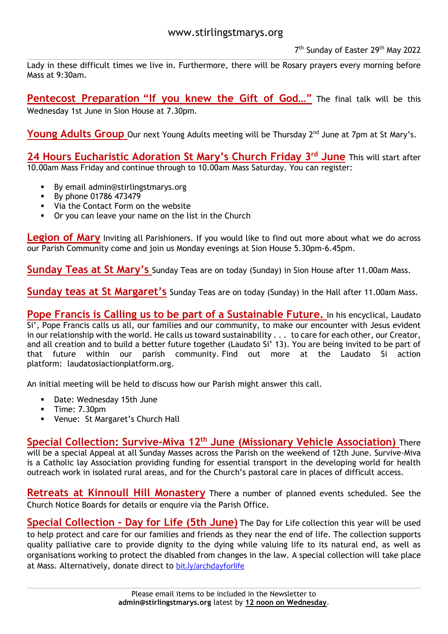Lady in these difficult times we live in. Furthermore, there will be Rosary prayers every morning before Mass at 9:30am.

**Pentecost Preparation "If you knew the Gift of God…"** The final talk will be this Wednesday 1st June in Sion House at 7.30pm.

**Young Adults Group** Our next Young Adults meeting will be Thursday 2<sup>nd</sup> June at 7pm at St Mary's.

**24 Hours Eucharistic Adoration St Mary's Church Friday 3 rd June** This will start after 10.00am Mass Friday and continue through to 10.00am Mass Saturday. You can register:

- By email [admin@stirlingstmarys.org](mailto:admin@stirlingstmarys.org)
- By phone 01786 473479
- Via the Contact Form on the website
- Or you can leave your name on the list in the Church

**Legion of Mary** Inviting all Parishioners. If you would like to find out more about what we do across our Parish Community come and join us Monday evenings at Sion House 5.30pm-6.45pm.

**Sunday Teas at St Mary's** Sunday Teas are on today (Sunday) in Sion House after 11.00am Mass.

**Sunday teas at St Margaret's** Sunday Teas are on today (Sunday) in the Hall after 11.00am Mass.

**Pope Francis is Calling us to be part of a Sustainable Future.** In his encyclical, Laudato Si', Pope Francis calls us all, our families and our community, to make our encounter with Jesus evident in our relationship with the world. He calls us toward sustainability . . . to care for each other, our Creator, and all creation and to build a better future together (Laudato Si' 13). You are being invited to be part of that future within our parish community. Find out more at the Laudato Si action platform: laudatosiactionplatform.org.

An initial meeting will be held to discuss how our Parish might answer this call.

- Date: Wednesday 15th June
- $\blacksquare$  Time: 7.30pm
- Venue: St Margaret's Church Hall

**Special Collection: Survive-Miva 12th June (Missionary Vehicle Association)** There will be a special Appeal at all Sunday Masses across the Parish on the weekend of 12th June. Survive-Miva is a Catholic lay Association providing funding for essential transport in the developing world for health outreach work in isolated rural areas, and for the Church's pastoral care in places of difficult access.

**Retreats at Kinnoull Hill Monastery** There a number of planned events scheduled. See the Church Notice Boards for details or enquire via the Parish Office.

**Special Collection - Day for Life (5th June)** The Day for Life collection this year will be used to help protect and care for our families and friends as they near the end of life. The collection supports quality palliative care to provide dignity to the dying while valuing life to its natural end, as well as organisations working to protect the disabled from changes in the law. A special collection will take place at Mass. Alternatively, donate direct to [bit.ly/archdayforlife](https://bit.ly/archdayforlife)